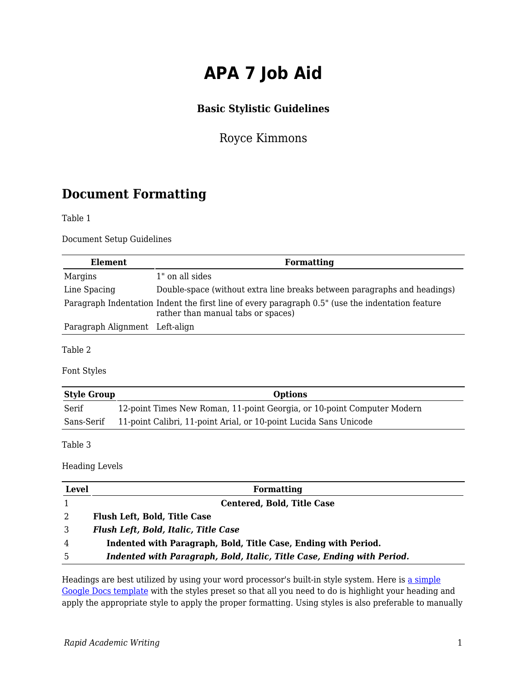# **APA 7 Job Aid**

#### **Basic Stylistic Guidelines**

Royce Kimmons

### **Document Formatting**

Table 1

Document Setup Guidelines

| Element                        | <b>Formatting</b>                                                                                                                      |
|--------------------------------|----------------------------------------------------------------------------------------------------------------------------------------|
| Margins                        | 1" on all sides                                                                                                                        |
| Line Spacing                   | Double-space (without extra line breaks between paragraphs and headings)                                                               |
|                                | Paragraph Indentation Indent the first line of every paragraph 0.5" (use the indentation feature<br>rather than manual tabs or spaces) |
| Paragraph Alignment Left-align |                                                                                                                                        |

Table 2

Font Styles

| <b>Style Group</b> | <b>Options</b>                                                          |
|--------------------|-------------------------------------------------------------------------|
| Serif              | 12-point Times New Roman, 11-point Georgia, or 10-point Computer Modern |
| Sans-Serif         | 11-point Calibri, 11-point Arial, or 10-point Lucida Sans Unicode       |

Table 3

Heading Levels

| <b>Level</b> | Formatting                                                             |  |
|--------------|------------------------------------------------------------------------|--|
|              | <b>Centered, Bold, Title Case</b>                                      |  |
| 2            | <b>Flush Left, Bold, Title Case</b>                                    |  |
| 3            | <b>Flush Left, Bold, Italic, Title Case</b>                            |  |
| 4            | Indented with Paragraph, Bold, Title Case, Ending with Period.         |  |
| -5           | Indented with Paragraph, Bold, Italic, Title Case, Ending with Period. |  |

Headings are best utilized by using your word processor's built-in style system. Here is [a simple](https://docs.google.com/document/d/1l2i_qV3AF7m7gPm_FwYyxxcvop4imrlL8NH1zc_Jxt4/copy) [Google Docs template](https://docs.google.com/document/d/1l2i_qV3AF7m7gPm_FwYyxxcvop4imrlL8NH1zc_Jxt4/copy) with the styles preset so that all you need to do is highlight your heading and apply the appropriate style to apply the proper formatting. Using styles is also preferable to manually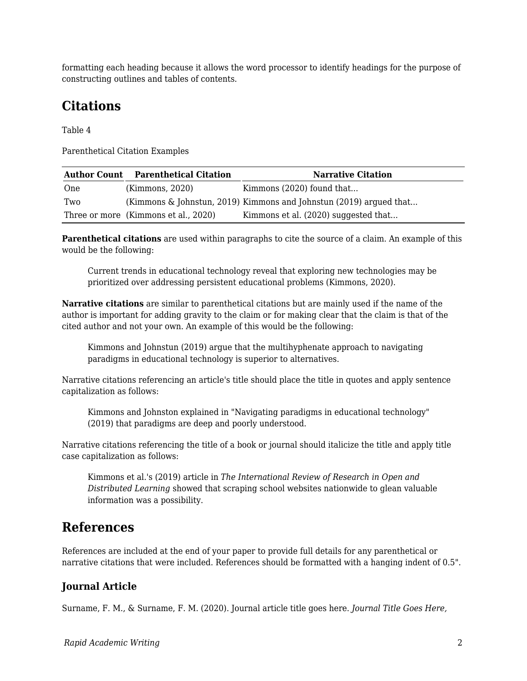formatting each heading because it allows the word processor to identify headings for the purpose of constructing outlines and tables of contents.

# **Citations**

Table 4

Parenthetical Citation Examples

| <b>Author Count</b> | <b>Parenthetical Citation</b>        | <b>Narrative Citation</b>                                          |
|---------------------|--------------------------------------|--------------------------------------------------------------------|
| One                 | (Kimmons, 2020)                      | Kimmons (2020) found that                                          |
| Two                 |                                      | (Kimmons & Johnstun, 2019) Kimmons and Johnstun (2019) argued that |
|                     | Three or more (Kimmons et al., 2020) | Kimmons et al. (2020) suggested that                               |

**Parenthetical citations** are used within paragraphs to cite the source of a claim. An example of this would be the following:

Current trends in educational technology reveal that exploring new technologies may be prioritized over addressing persistent educational problems (Kimmons, 2020).

**Narrative citations** are similar to parenthetical citations but are mainly used if the name of the author is important for adding gravity to the claim or for making clear that the claim is that of the cited author and not your own. An example of this would be the following:

Kimmons and Johnstun (2019) argue that the multihyphenate approach to navigating paradigms in educational technology is superior to alternatives.

Narrative citations referencing an article's title should place the title in quotes and apply sentence capitalization as follows:

Kimmons and Johnston explained in "Navigating paradigms in educational technology" (2019) that paradigms are deep and poorly understood.

Narrative citations referencing the title of a book or journal should italicize the title and apply title case capitalization as follows:

Kimmons et al.'s (2019) article in *The International Review of Research in Open and Distributed Learning* showed that scraping school websites nationwide to glean valuable information was a possibility.

### **References**

References are included at the end of your paper to provide full details for any parenthetical or narrative citations that were included. References should be formatted with a hanging indent of 0.5".

#### **Journal Article**

Surname, F. M., & Surname, F. M. (2020). Journal article title goes here. *Journal Title Goes Here,*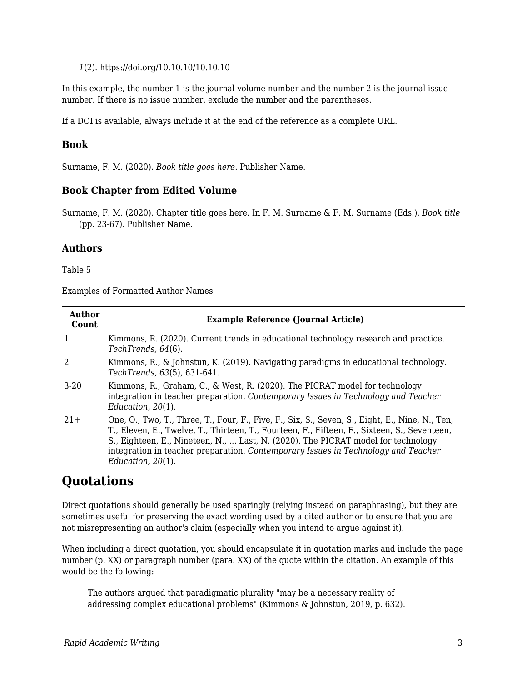*1*(2). https://doi.org/10.10.10/10.10.10

In this example, the number 1 is the journal volume number and the number 2 is the journal issue number. If there is no issue number, exclude the number and the parentheses.

If a DOI is available, always include it at the end of the reference as a complete URL.

#### **Book**

Surname, F. M. (2020). *Book title goes here*. Publisher Name.

#### **Book Chapter from Edited Volume**

Surname, F. M. (2020). Chapter title goes here. In F. M. Surname & F. M. Surname (Eds.), *Book title* (pp. 23-67). Publisher Name.

#### **Authors**

Table 5

Examples of Formatted Author Names

| Author<br>Count | <b>Example Reference (Journal Article)</b>                                                                                                                                                                                                                                                                                                                                                       |  |
|-----------------|--------------------------------------------------------------------------------------------------------------------------------------------------------------------------------------------------------------------------------------------------------------------------------------------------------------------------------------------------------------------------------------------------|--|
| 1               | Kimmons, R. (2020). Current trends in educational technology research and practice.<br>TechTrends, 64(6).                                                                                                                                                                                                                                                                                        |  |
| 2               | Kimmons, R., & Johnstun, K. (2019). Navigating paradigms in educational technology.<br>TechTrends, 63(5), 631-641.                                                                                                                                                                                                                                                                               |  |
| $3-20$          | Kimmons, R., Graham, C., & West, R. (2020). The PICRAT model for technology<br>integration in teacher preparation. Contemporary Issues in Technology and Teacher<br>Education, $20(1)$ .                                                                                                                                                                                                         |  |
| $21+$           | One, O., Two, T., Three, T., Four, F., Five, F., Six, S., Seven, S., Eight, E., Nine, N., Ten,<br>T., Eleven, E., Twelve, T., Thirteen, T., Fourteen, F., Fifteen, F., Sixteen, S., Seventeen,<br>S., Eighteen, E., Nineteen, N.,  Last, N. (2020). The PICRAT model for technology<br>integration in teacher preparation. Contemporary Issues in Technology and Teacher<br>Education, $20(1)$ . |  |

### **Quotations**

Direct quotations should generally be used sparingly (relying instead on paraphrasing), but they are sometimes useful for preserving the exact wording used by a cited author or to ensure that you are not misrepresenting an author's claim (especially when you intend to argue against it).

When including a direct quotation, you should encapsulate it in quotation marks and include the page number (p. XX) or paragraph number (para. XX) of the quote within the citation. An example of this would be the following:

The authors argued that paradigmatic plurality "may be a necessary reality of addressing complex educational problems" (Kimmons & Johnstun, 2019, p. 632).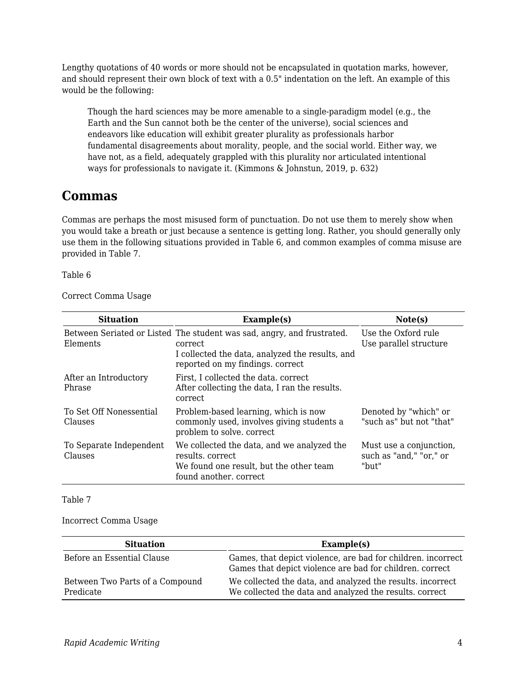Lengthy quotations of 40 words or more should not be encapsulated in quotation marks, however, and should represent their own block of text with a 0.5" indentation on the left. An example of this would be the following:

Though the hard sciences may be more amenable to a single-paradigm model (e.g., the Earth and the Sun cannot both be the center of the universe), social sciences and endeavors like education will exhibit greater plurality as professionals harbor fundamental disagreements about morality, people, and the social world. Either way, we have not, as a field, adequately grappled with this plurality nor articulated intentional ways for professionals to navigate it. (Kimmons & Johnstun, 2019, p. 632)

### **Commas**

Commas are perhaps the most misused form of punctuation. Do not use them to merely show when you would take a breath or just because a sentence is getting long. Rather, you should generally only use them in the following situations provided in Table 6, and common examples of comma misuse are provided in Table 7.

Table 6

Correct Comma Usage

| <b>Situation</b>                   | Example(s)                                                                                                                                                               | Note(s)                                                     |
|------------------------------------|--------------------------------------------------------------------------------------------------------------------------------------------------------------------------|-------------------------------------------------------------|
| Elements                           | Between Seriated or Listed The student was sad, angry, and frustrated.<br>correct<br>I collected the data, analyzed the results, and<br>reported on my findings. correct | Use the Oxford rule<br>Use parallel structure               |
| After an Introductory<br>Phrase    | First, I collected the data. correct<br>After collecting the data, I ran the results.<br>correct                                                                         |                                                             |
| To Set Off Nonessential<br>Clauses | Problem-based learning, which is now<br>commonly used, involves giving students a<br>problem to solve. correct                                                           | Denoted by "which" or<br>"such as" but not "that"           |
| To Separate Independent<br>Clauses | We collected the data, and we analyzed the<br>results, correct<br>We found one result, but the other team<br>found another, correct                                      | Must use a conjunction,<br>such as "and," "or," or<br>"but" |

Table 7

#### Incorrect Comma Usage

| <b>Situation</b>                             | Example(s)                                                                                                               |
|----------------------------------------------|--------------------------------------------------------------------------------------------------------------------------|
| Before an Essential Clause                   | Games, that depict violence, are bad for children. incorrect<br>Games that depict violence are bad for children. correct |
| Between Two Parts of a Compound<br>Predicate | We collected the data, and analyzed the results. incorrect<br>We collected the data and analyzed the results. correct    |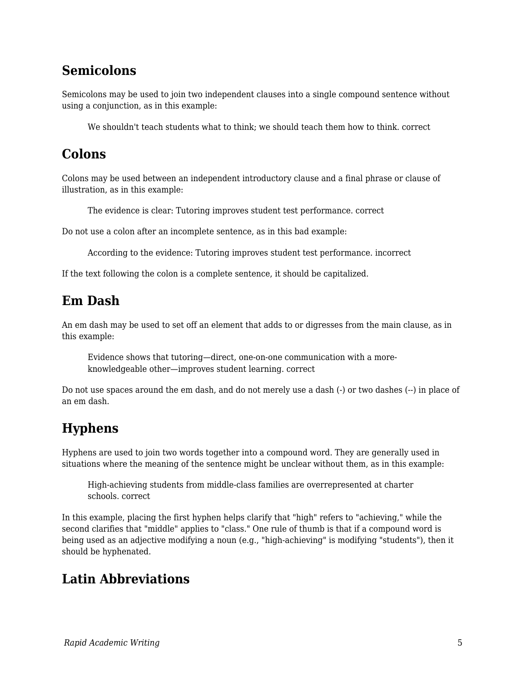### **Semicolons**

Semicolons may be used to join two independent clauses into a single compound sentence without using a conjunction, as in this example:

We shouldn't teach students what to think; we should teach them how to think. correct

### **Colons**

Colons may be used between an independent introductory clause and a final phrase or clause of illustration, as in this example:

The evidence is clear: Tutoring improves student test performance. correct

Do not use a colon after an incomplete sentence, as in this bad example:

According to the evidence: Tutoring improves student test performance. incorrect

If the text following the colon is a complete sentence, it should be capitalized.

# **Em Dash**

An em dash may be used to set off an element that adds to or digresses from the main clause, as in this example:

Evidence shows that tutoring—direct, one-on-one communication with a moreknowledgeable other—improves student learning. correct

Do not use spaces around the em dash, and do not merely use a dash (-) or two dashes (--) in place of an em dash.

# **Hyphens**

Hyphens are used to join two words together into a compound word. They are generally used in situations where the meaning of the sentence might be unclear without them, as in this example:

High-achieving students from middle-class families are overrepresented at charter schools. correct

In this example, placing the first hyphen helps clarify that "high" refers to "achieving," while the second clarifies that "middle" applies to "class." One rule of thumb is that if a compound word is being used as an adjective modifying a noun (e.g., "high-achieving" is modifying "students"), then it should be hyphenated.

### **Latin Abbreviations**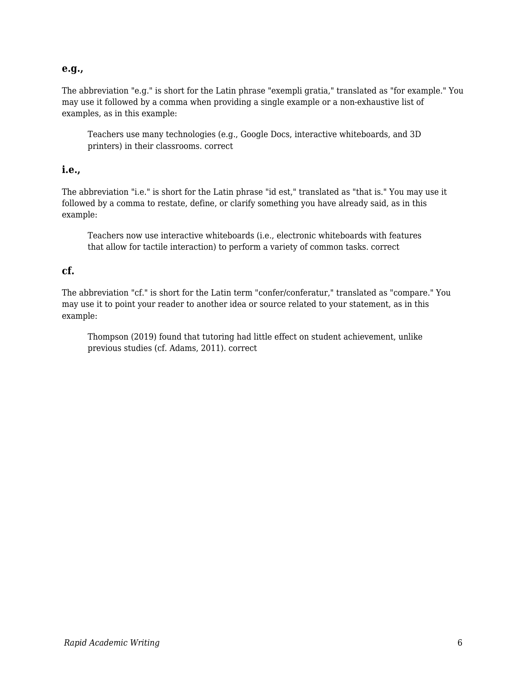#### **e.g.,**

The abbreviation "e.g." is short for the Latin phrase "exempli gratia," translated as "for example." You may use it followed by a comma when providing a single example or a non-exhaustive list of examples, as in this example:

Teachers use many technologies (e.g., Google Docs, interactive whiteboards, and 3D printers) in their classrooms. correct

#### **i.e.,**

The abbreviation "i.e." is short for the Latin phrase "id est," translated as "that is." You may use it followed by a comma to restate, define, or clarify something you have already said, as in this example:

Teachers now use interactive whiteboards (i.e., electronic whiteboards with features that allow for tactile interaction) to perform a variety of common tasks. correct

#### **cf.**

The abbreviation "cf." is short for the Latin term "confer/conferatur," translated as "compare." You may use it to point your reader to another idea or source related to your statement, as in this example:

Thompson (2019) found that tutoring had little effect on student achievement, unlike previous studies (cf. Adams, 2011). correct